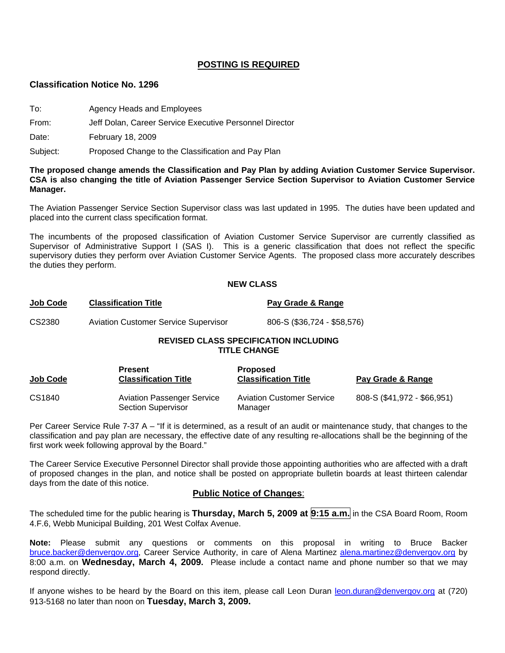### **POSTING IS REQUIRED**

#### **Classification Notice No. 1296**

To: Agency Heads and Employees

From: Jeff Dolan, Career Service Executive Personnel Director

Date: February 18, 2009

Subject: Proposed Change to the Classification and Pay Plan

**The proposed change amends the Classification and Pay Plan by adding Aviation Customer Service Supervisor. CSA is also changing the title of Aviation Passenger Service Section Supervisor to Aviation Customer Service Manager.** 

The Aviation Passenger Service Section Supervisor class was last updated in 1995. The duties have been updated and placed into the current class specification format.

The incumbents of the proposed classification of Aviation Customer Service Supervisor are currently classified as Supervisor of Administrative Support I (SAS I). This is a generic classification that does not reflect the specific supervisory duties they perform over Aviation Customer Service Agents. The proposed class more accurately describes the duties they perform.

#### **NEW CLASS**

| <u>Job Code</u> | <b>Classification Title</b>                 | Pay Grade & Range           |
|-----------------|---------------------------------------------|-----------------------------|
| CS2380          | <b>Aviation Customer Service Supervisor</b> | 806-S (\$36,724 - \$58,576) |

### **REVISED CLASS SPECIFICATION INCLUDING TITLE CHANGE**

| <b>Job Code</b> | <b>Present</b><br><b>Classification Title</b>                  | <b>Proposed</b><br><b>Classification Title</b> | Pay Grade & Range           |
|-----------------|----------------------------------------------------------------|------------------------------------------------|-----------------------------|
| CS1840          | <b>Aviation Passenger Service</b><br><b>Section Supervisor</b> | <b>Aviation Customer Service</b><br>Manager    | 808-S (\$41,972 - \$66,951) |

Per Career Service Rule 7-37 A – "If it is determined, as a result of an audit or maintenance study, that changes to the classification and pay plan are necessary, the effective date of any resulting re-allocations shall be the beginning of the first work week following approval by the Board."

The Career Service Executive Personnel Director shall provide those appointing authorities who are affected with a draft of proposed changes in the plan, and notice shall be posted on appropriate bulletin boards at least thirteen calendar days from the date of this notice.

#### **Public Notice of Changes**:

The scheduled time for the public hearing is **Thursday, March 5, 2009 at 9:15 a.m.** in the CSA Board Room, Room 4.F.6, Webb Municipal Building, 201 West Colfax Avenue.

**Note:** Please submit any questions or comments on this proposal in writing to Bruce Backer [bruce.backer@denvergov.org,](mailto:bruce.backer@denvergov.org) Career Service Authority, in care of Alena Martinez [alena.martinez@denvergov.org](mailto:alena.martinez@denvergov.org) by 8:00 a.m. on **Wednesday, March 4, 2009.** Please include a contact name and phone number so that we may respond directly.

If anyone wishes to be heard by the Board on this item, please call Leon Duran [leon.duran@denvergov.org](mailto:leon.duran@denvergov.org) at (720) 913-5168 no later than noon on **Tuesday, March 3, 2009.**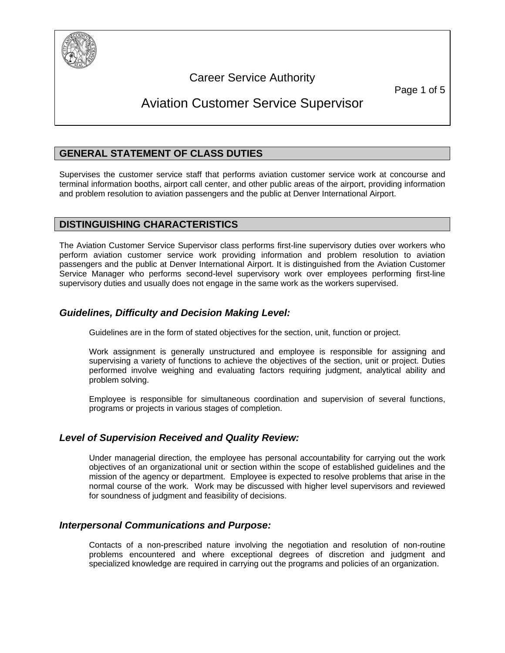

# Career Service Authority

Page 1 of 5

# Aviation Customer Service Supervisor

# **GENERAL STATEMENT OF CLASS DUTIES**

Supervises the customer service staff that performs aviation customer service work at concourse and terminal information booths, airport call center, and other public areas of the airport, providing information and problem resolution to aviation passengers and the public at Denver International Airport.

### **DISTINGUISHING CHARACTERISTICS**

The Aviation Customer Service Supervisor class performs first-line supervisory duties over workers who perform aviation customer service work providing information and problem resolution to aviation passengers and the public at Denver International Airport. It is distinguished from the Aviation Customer Service Manager who performs second-level supervisory work over employees performing first-line supervisory duties and usually does not engage in the same work as the workers supervised.

# *Guidelines, Difficulty and Decision Making Level:*

Guidelines are in the form of stated objectives for the section, unit, function or project.

Work assignment is generally unstructured and employee is responsible for assigning and supervising a variety of functions to achieve the objectives of the section, unit or project. Duties performed involve weighing and evaluating factors requiring judgment, analytical ability and problem solving.

Employee is responsible for simultaneous coordination and supervision of several functions, programs or projects in various stages of completion.

# *Level of Supervision Received and Quality Review:*

Under managerial direction, the employee has personal accountability for carrying out the work objectives of an organizational unit or section within the scope of established guidelines and the mission of the agency or department. Employee is expected to resolve problems that arise in the normal course of the work. Work may be discussed with higher level supervisors and reviewed for soundness of judgment and feasibility of decisions.

# *Interpersonal Communications and Purpose:*

Contacts of a non-prescribed nature involving the negotiation and resolution of non-routine problems encountered and where exceptional degrees of discretion and judgment and specialized knowledge are required in carrying out the programs and policies of an organization.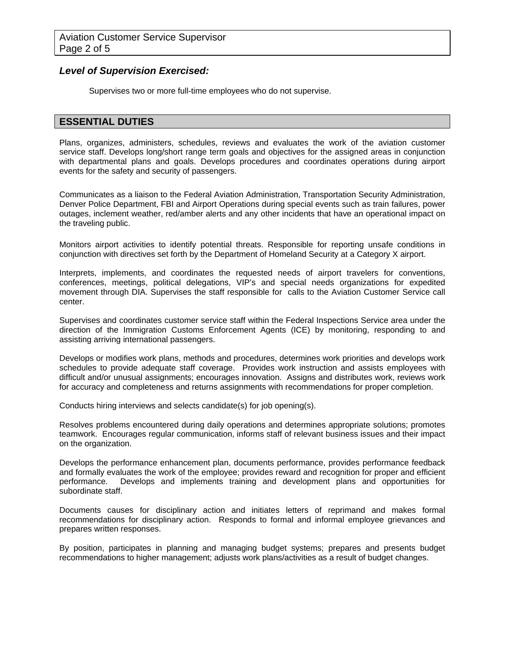### *Level of Supervision Exercised:*

Supervises two or more full-time employees who do not supervise.

### **ESSENTIAL DUTIES**

Plans, organizes, administers, schedules, reviews and evaluates the work of the aviation customer service staff. Develops long/short range term goals and objectives for the assigned areas in conjunction with departmental plans and goals. Develops procedures and coordinates operations during airport events for the safety and security of passengers.

Communicates as a liaison to the Federal Aviation Administration, Transportation Security Administration, Denver Police Department, FBI and Airport Operations during special events such as train failures, power outages, inclement weather, red/amber alerts and any other incidents that have an operational impact on the traveling public.

Monitors airport activities to identify potential threats. Responsible for reporting unsafe conditions in conjunction with directives set forth by the Department of Homeland Security at a Category X airport.

Interprets, implements, and coordinates the requested needs of airport travelers for conventions, conferences, meetings, political delegations, VIP's and special needs organizations for expedited movement through DIA. Supervises the staff responsible for calls to the Aviation Customer Service call center.

Supervises and coordinates customer service staff within the Federal Inspections Service area under the direction of the Immigration Customs Enforcement Agents (ICE) by monitoring, responding to and assisting arriving international passengers.

Develops or modifies work plans, methods and procedures, determines work priorities and develops work schedules to provide adequate staff coverage. Provides work instruction and assists employees with difficult and/or unusual assignments; encourages innovation. Assigns and distributes work, reviews work for accuracy and completeness and returns assignments with recommendations for proper completion.

Conducts hiring interviews and selects candidate(s) for job opening(s).

Resolves problems encountered during daily operations and determines appropriate solutions; promotes teamwork. Encourages regular communication, informs staff of relevant business issues and their impact on the organization.

Develops the performance enhancement plan, documents performance, provides performance feedback and formally evaluates the work of the employee; provides reward and recognition for proper and efficient performance. Develops and implements training and development plans and opportunities for subordinate staff.

Documents causes for disciplinary action and initiates letters of reprimand and makes formal recommendations for disciplinary action. Responds to formal and informal employee grievances and prepares written responses.

By position, participates in planning and managing budget systems; prepares and presents budget recommendations to higher management; adjusts work plans/activities as a result of budget changes.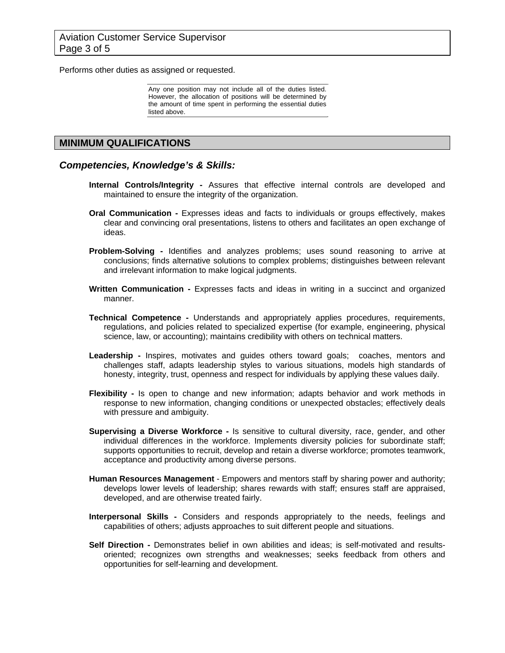Performs other duties as assigned or requested.

Any one position may not include all of the duties listed. However, the allocation of positions will be determined by the amount of time spent in performing the essential duties listed above.

### **MINIMUM QUALIFICATIONS**

#### *Competencies, Knowledge's & Skills:*

- **Internal Controls/Integrity** Assures that effective internal controls are developed and maintained to ensure the integrity of the organization.
- **Oral Communication** Expresses ideas and facts to individuals or groups effectively, makes clear and convincing oral presentations, listens to others and facilitates an open exchange of ideas.
- **Problem-Solving** Identifies and analyzes problems; uses sound reasoning to arrive at conclusions; finds alternative solutions to complex problems; distinguishes between relevant and irrelevant information to make logical judgments.
- **Written Communication -** Expresses facts and ideas in writing in a succinct and organized manner.
- **Technical Competence** Understands and appropriately applies procedures, requirements, regulations, and policies related to specialized expertise (for example, engineering, physical science, law, or accounting); maintains credibility with others on technical matters.
- Leadership Inspires, motivates and guides others toward goals; coaches, mentors and challenges staff, adapts leadership styles to various situations, models high standards of honesty, integrity, trust, openness and respect for individuals by applying these values daily.
- **Flexibility** Is open to change and new information; adapts behavior and work methods in response to new information, changing conditions or unexpected obstacles; effectively deals with pressure and ambiguity.
- **Supervising a Diverse Workforce** Is sensitive to cultural diversity, race, gender, and other individual differences in the workforce. Implements diversity policies for subordinate staff; supports opportunities to recruit, develop and retain a diverse workforce; promotes teamwork, acceptance and productivity among diverse persons.
- **Human Resources Management**  Empowers and mentors staff by sharing power and authority; develops lower levels of leadership; shares rewards with staff; ensures staff are appraised, developed, and are otherwise treated fairly.
- **Interpersonal Skills -** Considers and responds appropriately to the needs, feelings and capabilities of others; adjusts approaches to suit different people and situations.
- **Self Direction** Demonstrates belief in own abilities and ideas; is self-motivated and resultsoriented; recognizes own strengths and weaknesses; seeks feedback from others and opportunities for self-learning and development.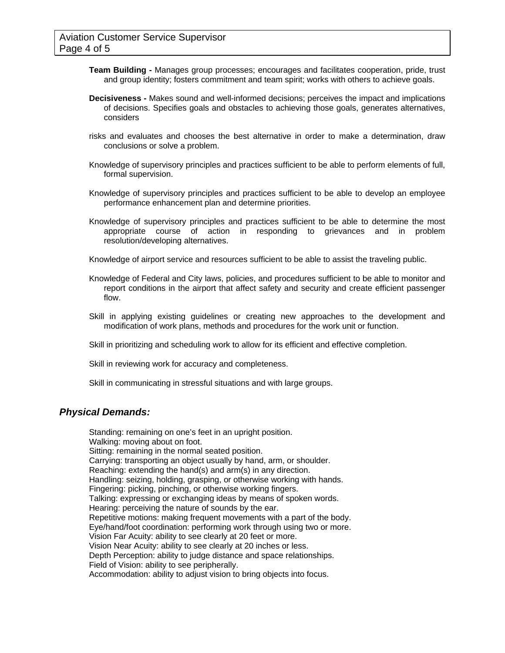- **Team Building** Manages group processes; encourages and facilitates cooperation, pride, trust and group identity; fosters commitment and team spirit; works with others to achieve goals.
- **Decisiveness** Makes sound and well-informed decisions; perceives the impact and implications of decisions. Specifies goals and obstacles to achieving those goals, generates alternatives, considers
- risks and evaluates and chooses the best alternative in order to make a determination, draw conclusions or solve a problem.
- Knowledge of supervisory principles and practices sufficient to be able to perform elements of full, formal supervision.
- Knowledge of supervisory principles and practices sufficient to be able to develop an employee performance enhancement plan and determine priorities.
- Knowledge of supervisory principles and practices sufficient to be able to determine the most appropriate course of action in responding to grievances and in problem resolution/developing alternatives.
- Knowledge of airport service and resources sufficient to be able to assist the traveling public.
- Knowledge of Federal and City laws, policies, and procedures sufficient to be able to monitor and report conditions in the airport that affect safety and security and create efficient passenger flow.
- Skill in applying existing guidelines or creating new approaches to the development and modification of work plans, methods and procedures for the work unit or function.

Skill in prioritizing and scheduling work to allow for its efficient and effective completion.

Skill in reviewing work for accuracy and completeness.

Skill in communicating in stressful situations and with large groups.

#### *Physical Demands:*

Standing: remaining on one's feet in an upright position. Walking: moving about on foot. Sitting: remaining in the normal seated position. Carrying: transporting an object usually by hand, arm, or shoulder. Reaching: extending the hand(s) and arm(s) in any direction. Handling: seizing, holding, grasping, or otherwise working with hands. Fingering: picking, pinching, or otherwise working fingers. Talking: expressing or exchanging ideas by means of spoken words. Hearing: perceiving the nature of sounds by the ear. Repetitive motions: making frequent movements with a part of the body. Eye/hand/foot coordination: performing work through using two or more. Vision Far Acuity: ability to see clearly at 20 feet or more. Vision Near Acuity: ability to see clearly at 20 inches or less. Depth Perception: ability to judge distance and space relationships. Field of Vision: ability to see peripherally. Accommodation: ability to adjust vision to bring objects into focus.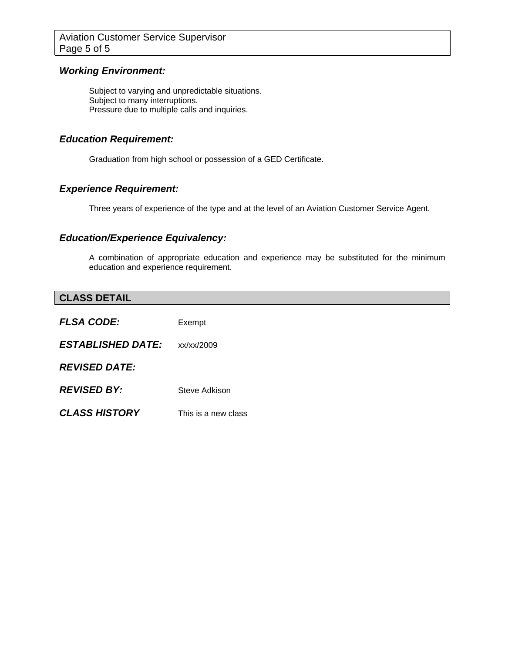### *Working Environment:*

Subject to varying and unpredictable situations. Subject to many interruptions. Pressure due to multiple calls and inquiries.

### *Education Requirement:*

Graduation from high school or possession of a GED Certificate.

## *Experience Requirement:*

Three years of experience of the type and at the level of an Aviation Customer Service Agent.

# *Education/Experience Equivalency:*

A combination of appropriate education and experience may be substituted for the minimum education and experience requirement.

| <b>CLASS DETAIL</b>      |                     |
|--------------------------|---------------------|
| <b>FLSA CODE:</b>        | Exempt              |
| <b>ESTABLISHED DATE:</b> | xx/xx/2009          |
| <b>REVISED DATE:</b>     |                     |
| <b>REVISED BY:</b>       | Steve Adkison       |
| <b>CLASS HISTORY</b>     | This is a new class |
|                          |                     |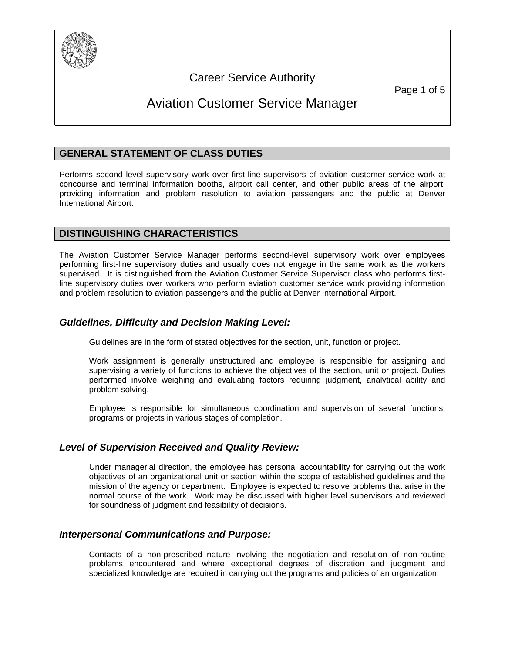

# Career Service Authority

# Aviation Customer Service Manager

# **GENERAL STATEMENT OF CLASS DUTIES**

Performs second level supervisory work over first-line supervisors of aviation customer service work at concourse and terminal information booths, airport call center, and other public areas of the airport, providing information and problem resolution to aviation passengers and the public at Denver International Airport.

# **DISTINGUISHING CHARACTERISTICS**

The Aviation Customer Service Manager performs second-level supervisory work over employees performing first-line supervisory duties and usually does not engage in the same work as the workers supervised. It is distinguished from the Aviation Customer Service Supervisor class who performs firstline supervisory duties over workers who perform aviation customer service work providing information and problem resolution to aviation passengers and the public at Denver International Airport.

## *Guidelines, Difficulty and Decision Making Level:*

Guidelines are in the form of stated objectives for the section, unit, function or project.

Work assignment is generally unstructured and employee is responsible for assigning and supervising a variety of functions to achieve the objectives of the section, unit or project. Duties performed involve weighing and evaluating factors requiring judgment, analytical ability and problem solving.

Employee is responsible for simultaneous coordination and supervision of several functions, programs or projects in various stages of completion.

### *Level of Supervision Received and Quality Review:*

Under managerial direction, the employee has personal accountability for carrying out the work objectives of an organizational unit or section within the scope of established guidelines and the mission of the agency or department. Employee is expected to resolve problems that arise in the normal course of the work. Work may be discussed with higher level supervisors and reviewed for soundness of judgment and feasibility of decisions.

### *Interpersonal Communications and Purpose:*

Contacts of a non-prescribed nature involving the negotiation and resolution of non-routine problems encountered and where exceptional degrees of discretion and judgment and specialized knowledge are required in carrying out the programs and policies of an organization.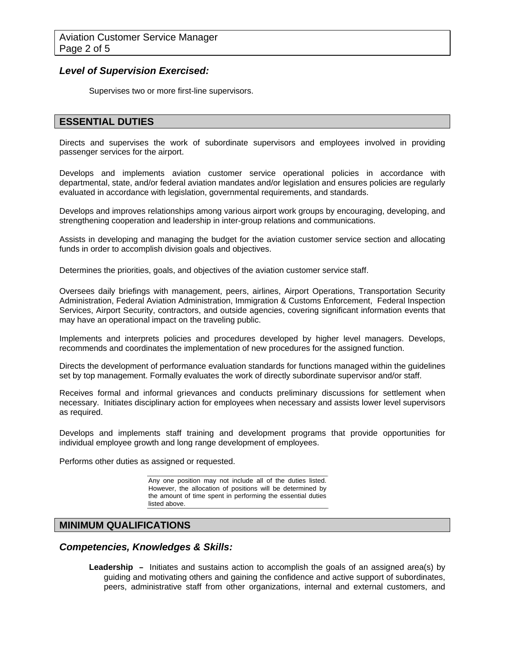### *Level of Supervision Exercised:*

Supervises two or more first-line supervisors.

### **ESSENTIAL DUTIES**

Directs and supervises the work of subordinate supervisors and employees involved in providing passenger services for the airport.

Develops and implements aviation customer service operational policies in accordance with departmental, state, and/or federal aviation mandates and/or legislation and ensures policies are regularly evaluated in accordance with legislation, governmental requirements, and standards.

Develops and improves relationships among various airport work groups by encouraging, developing, and strengthening cooperation and leadership in inter-group relations and communications.

Assists in developing and managing the budget for the aviation customer service section and allocating funds in order to accomplish division goals and objectives.

Determines the priorities, goals, and objectives of the aviation customer service staff.

Oversees daily briefings with management, peers, airlines, Airport Operations, Transportation Security Administration, Federal Aviation Administration, Immigration & Customs Enforcement, Federal Inspection Services, Airport Security, contractors, and outside agencies, covering significant information events that may have an operational impact on the traveling public.

Implements and interprets policies and procedures developed by higher level managers. Develops, recommends and coordinates the implementation of new procedures for the assigned function.

Directs the development of performance evaluation standards for functions managed within the guidelines set by top management. Formally evaluates the work of directly subordinate supervisor and/or staff.

Receives formal and informal grievances and conducts preliminary discussions for settlement when necessary. Initiates disciplinary action for employees when necessary and assists lower level supervisors as required.

Develops and implements staff training and development programs that provide opportunities for individual employee growth and long range development of employees.

Performs other duties as assigned or requested.

Any one position may not include all of the duties listed. However, the allocation of positions will be determined by the amount of time spent in performing the essential duties listed above.

#### **MINIMUM QUALIFICATIONS**

*Competencies, Knowledges & Skills:* 

**Leadership –** Initiates and sustains action to accomplish the goals of an assigned area(s) by guiding and motivating others and gaining the confidence and active support of subordinates, peers, administrative staff from other organizations, internal and external customers, and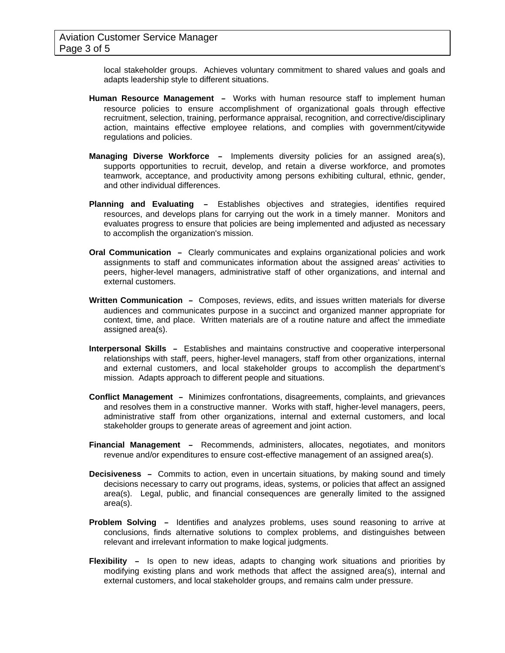local stakeholder groups. Achieves voluntary commitment to shared values and goals and adapts leadership style to different situations.

- **Human Resource Management** Works with human resource staff to implement human resource policies to ensure accomplishment of organizational goals through effective recruitment, selection, training, performance appraisal, recognition, and corrective/disciplinary action, maintains effective employee relations, and complies with government/citywide regulations and policies.
- **Managing Diverse Workforce** Implements diversity policies for an assigned area(s), supports opportunities to recruit, develop, and retain a diverse workforce, and promotes teamwork, acceptance, and productivity among persons exhibiting cultural, ethnic, gender, and other individual differences.
- **Planning and Evaluating** Establishes objectives and strategies, identifies required resources, and develops plans for carrying out the work in a timely manner. Monitors and evaluates progress to ensure that policies are being implemented and adjusted as necessary to accomplish the organization's mission.
- **Oral Communication** Clearly communicates and explains organizational policies and work assignments to staff and communicates information about the assigned areas' activities to peers, higher-level managers, administrative staff of other organizations, and internal and external customers.
- **Written Communication** Composes, reviews, edits, and issues written materials for diverse audiences and communicates purpose in a succinct and organized manner appropriate for context, time, and place. Written materials are of a routine nature and affect the immediate assigned area(s).
- **Interpersonal Skills** Establishes and maintains constructive and cooperative interpersonal relationships with staff, peers, higher-level managers, staff from other organizations, internal and external customers, and local stakeholder groups to accomplish the department's mission. Adapts approach to different people and situations.
- **Conflict Management** Minimizes confrontations, disagreements, complaints, and grievances and resolves them in a constructive manner. Works with staff, higher-level managers, peers, administrative staff from other organizations, internal and external customers, and local stakeholder groups to generate areas of agreement and joint action.
- **Financial Management** Recommends, administers, allocates, negotiates, and monitors revenue and/or expenditures to ensure cost-effective management of an assigned area(s).
- **Decisiveness** Commits to action, even in uncertain situations, by making sound and timely decisions necessary to carry out programs, ideas, systems, or policies that affect an assigned area(s). Legal, public, and financial consequences are generally limited to the assigned area(s).
- **Problem Solving** Identifies and analyzes problems, uses sound reasoning to arrive at conclusions, finds alternative solutions to complex problems, and distinguishes between relevant and irrelevant information to make logical judgments.
- **Flexibility** Is open to new ideas, adapts to changing work situations and priorities by modifying existing plans and work methods that affect the assigned area(s), internal and external customers, and local stakeholder groups, and remains calm under pressure.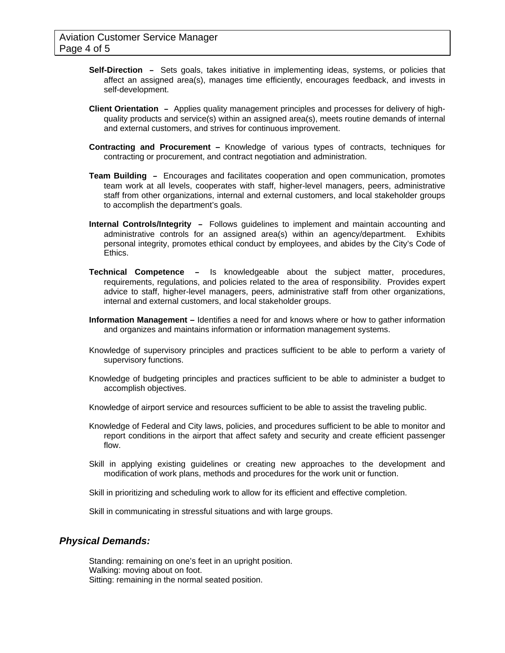- **Self-Direction** Sets goals, takes initiative in implementing ideas, systems, or policies that affect an assigned area(s), manages time efficiently, encourages feedback, and invests in self-development.
- **Client Orientation** Applies quality management principles and processes for delivery of highquality products and service(s) within an assigned area(s), meets routine demands of internal and external customers, and strives for continuous improvement.
- **Contracting and Procurement –** Knowledge of various types of contracts, techniques for contracting or procurement, and contract negotiation and administration.
- **Team Building** Encourages and facilitates cooperation and open communication, promotes team work at all levels, cooperates with staff, higher-level managers, peers, administrative staff from other organizations, internal and external customers, and local stakeholder groups to accomplish the department's goals.
- **Internal Controls/Integrity** Follows guidelines to implement and maintain accounting and administrative controls for an assigned area(s) within an agency/department. Exhibits personal integrity, promotes ethical conduct by employees, and abides by the City's Code of Ethics.
- **Technical Competence** Is knowledgeable about the subject matter, procedures, requirements, regulations, and policies related to the area of responsibility. Provides expert advice to staff, higher-level managers, peers, administrative staff from other organizations, internal and external customers, and local stakeholder groups.
- **Information Management** Identifies a need for and knows where or how to gather information and organizes and maintains information or information management systems.
- Knowledge of supervisory principles and practices sufficient to be able to perform a variety of supervisory functions.
- Knowledge of budgeting principles and practices sufficient to be able to administer a budget to accomplish objectives.
- Knowledge of airport service and resources sufficient to be able to assist the traveling public.
- Knowledge of Federal and City laws, policies, and procedures sufficient to be able to monitor and report conditions in the airport that affect safety and security and create efficient passenger flow.
- Skill in applying existing guidelines or creating new approaches to the development and modification of work plans, methods and procedures for the work unit or function.
- Skill in prioritizing and scheduling work to allow for its efficient and effective completion.
- Skill in communicating in stressful situations and with large groups.

#### *Physical Demands:*

Standing: remaining on one's feet in an upright position. Walking: moving about on foot. Sitting: remaining in the normal seated position.